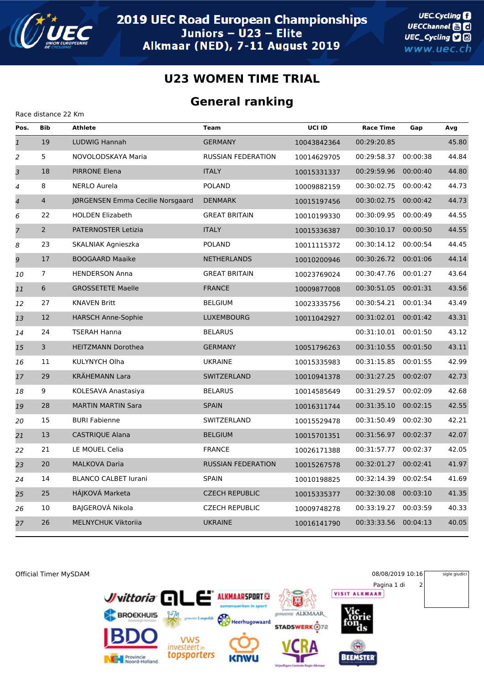

Race distance 22 Km

## **U23 WOMEN TIME TRIAL**

## **General ranking**

| Pos.                     | <b>Bib</b>      | <b>Athlete</b>                   | <b>Team</b>               | <b>UCI ID</b> | <b>Race Time</b> | Gap      | Avg   |
|--------------------------|-----------------|----------------------------------|---------------------------|---------------|------------------|----------|-------|
| $\overline{1}$           | 19              | LUDWIG Hannah                    | <b>GERMANY</b>            | 10043842364   | 00:29:20.85      |          | 45.80 |
| $\overline{a}$           | 5               | NOVOLODSKAYA Maria               | <b>RUSSIAN FEDERATION</b> | 10014629705   | 00:29:58.37      | 00:00:38 | 44.84 |
| 3                        | 18              | <b>PIRRONE Elena</b>             | <b>ITALY</b>              | 10015331337   | 00:29:59.96      | 00:00:40 | 44.80 |
| 4                        | 8               | <b>NERLO Aurela</b>              | <b>POLAND</b>             | 10009882159   | 00:30:02.75      | 00:00:42 | 44.73 |
| $\overline{\mathcal{A}}$ | $\overline{4}$  | JØRGENSEN Emma Cecilie Norsgaard | <b>DENMARK</b>            | 10015197456   | 00:30:02.75      | 00:00:42 | 44.73 |
| 6                        | 22              | <b>HOLDEN Elizabeth</b>          | <b>GREAT BRITAIN</b>      | 10010199330   | 00:30:09.95      | 00:00:49 | 44.55 |
| $\overline{7}$           | $2^{\circ}$     | PATERNOSTER Letizia              | <b>ITALY</b>              | 10015336387   | 00:30:10.17      | 00:00:50 | 44.55 |
| 8                        | 23              | SKALNIAK Agnieszka               | <b>POLAND</b>             | 10011115372   | 00:30:14.12      | 00:00:54 | 44.45 |
| 9                        | 17              | <b>BOOGAARD Maaike</b>           | <b>NETHERLANDS</b>        | 10010200946   | 00:30:26.72      | 00:01:06 | 44.14 |
| 10                       | $\overline{7}$  | <b>HENDERSON Anna</b>            | <b>GREAT BRITAIN</b>      | 10023769024   | 00:30:47.76      | 00:01:27 | 43.64 |
| 11                       | $6\phantom{.}6$ | <b>GROSSETETE Maelle</b>         | <b>FRANCE</b>             | 10009877008   | 00:30:51.05      | 00:01:31 | 43.56 |
| 12                       | 27              | <b>KNAVEN Britt</b>              | <b>BELGIUM</b>            | 10023335756   | 00:30:54.21      | 00:01:34 | 43.49 |
| 13                       | 12              | <b>HARSCH Anne-Sophie</b>        | <b>LUXEMBOURG</b>         | 10011042927   | 00:31:02.01      | 00:01:42 | 43.31 |
| 14                       | 24              | <b>TSERAH Hanna</b>              | <b>BELARUS</b>            |               | 00:31:10.01      | 00:01:50 | 43.12 |
| 15                       | 3               | <b>HEITZMANN Dorothea</b>        | <b>GERMANY</b>            | 10051796263   | 00:31:10.55      | 00:01:50 | 43.11 |
| 16                       | 11              | KULYNYCH Olha                    | <b>UKRAINE</b>            | 10015335983   | 00:31:15.85      | 00:01:55 | 42.99 |
| 17                       | 29              | <b>KRÄHEMANN Lara</b>            | SWITZERLAND               | 10010941378   | 00:31:27.25      | 00:02:07 | 42.73 |
| 18                       | 9               | KOLESAVA Anastasiya              | <b>BELARUS</b>            | 10014585649   | 00:31:29.57      | 00:02:09 | 42.68 |
| 19                       | 28              | <b>MARTIN MARTIN Sara</b>        | <b>SPAIN</b>              | 10016311744   | 00:31:35.10      | 00:02:15 | 42.55 |
| 20                       | 15              | <b>BURI Fabienne</b>             | SWITZERLAND               | 10015529478   | 00:31:50.49      | 00:02:30 | 42.21 |
| 21                       | 13              | <b>CASTRIQUE Alana</b>           | <b>BELGIUM</b>            | 10015701351   | 00:31:56.97      | 00:02:37 | 42.07 |
| 22                       | 21              | LE MOUEL Celia                   | <b>FRANCE</b>             | 10026171388   | 00:31:57.77      | 00:02:37 | 42.05 |
| 23                       | 20              | <b>MALKOVA Daria</b>             | <b>RUSSIAN FEDERATION</b> | 10015267578   | 00:32:01.27      | 00:02:41 | 41.97 |
| 24                       | 14              | <b>BLANCO CALBET lurani</b>      | <b>SPAIN</b>              | 10010198825   | 00:32:14.39      | 00:02:54 | 41.69 |
| 25                       | 25              | HÁJKOVÁ Marketa                  | <b>CZECH REPUBLIC</b>     | 10015335377   | 00:32:30.08      | 00:03:10 | 41.35 |
| 26                       | 10              | BAJGEROVÁ Nikola                 | <b>CZECH REPUBLIC</b>     | 10009748278   | 00:33:19.27      | 00:03:59 | 40.33 |
| 27                       | 26              | <b>MELNYCHUK Viktoriia</b>       | <b>UKRAINE</b>            | 10016141790   | 00:33:33.56      | 00:04:13 | 40.05 |
|                          |                 |                                  |                           |               |                  |          |       |